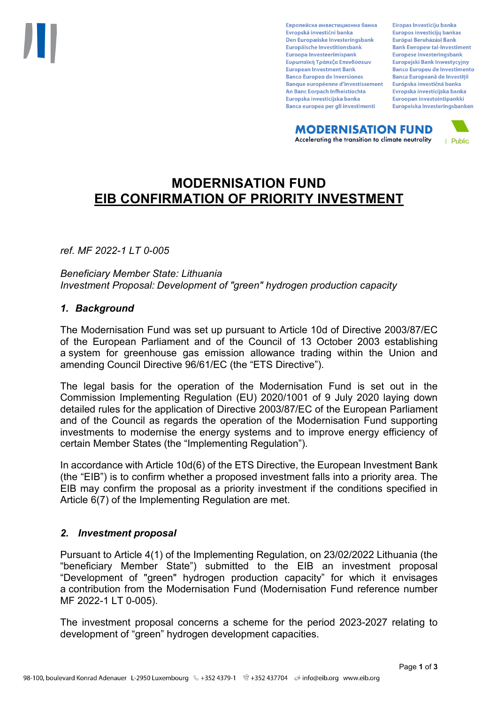Европейска инвестиционна банка Evropská investiční banka Den Europæiske Investeringsbank Europäische Investitionsbank Euroopa Investeerimispank Ευρωπαϊκή Τράπεζα Επενδύσεων **European Investment Bank Banco Europeo de Inversiones Banque européenne d'investissement** An Banc Eorpach Infheistíochta Europska investicijska banka Banca europea per gli investimenti

Eiropas Investīciju banka Europos investicijų bankas Európai Beruházási Bank **Bank Ewropew tal-Investiment** Europese Investeringsbank **Europeiski Bank Inwestycviny Banco Europeu de Investimento Banca Europeană de Investiții** Európska investičná banka Evropska investicijska banka Euroopan investointipankki Europeiska investeringsbanken

**MODERNISATION FUND** Accelerating the transition to climate neutrality



# **MODERNISATION FUND EIB CONFIRMATION OF PRIORITY INVESTMENT**

*ref. MF 2022-1 LT 0-005*

*Beneficiary Member State: Lithuania Investment Proposal: Development of "green" hydrogen production capacity*

### *1. Background*

The Modernisation Fund was set up pursuant to Article 10d of Directive 2003/87/EC of the European Parliament and of the Council of 13 October 2003 establishing a system for greenhouse gas emission allowance trading within the Union and amending Council Directive 96/61/EC (the "ETS Directive").

The legal basis for the operation of the Modernisation Fund is set out in the Commission Implementing Regulation (EU) 2020/1001 of 9 July 2020 laying down detailed rules for the application of Directive 2003/87/EC of the European Parliament and of the Council as regards the operation of the Modernisation Fund supporting investments to modernise the energy systems and to improve energy efficiency of certain Member States (the "Implementing Regulation").

In accordance with Article 10d(6) of the ETS Directive, the European Investment Bank (the "EIB") is to confirm whether a proposed investment falls into a priority area. The EIB may confirm the proposal as a priority investment if the conditions specified in Article 6(7) of the Implementing Regulation are met.

## *2. Investment proposal*

Pursuant to Article 4(1) of the Implementing Regulation, on 23/02/2022 Lithuania (the "beneficiary Member State") submitted to the EIB an investment proposal "Development of "green" hydrogen production capacity" for which it envisages a contribution from the Modernisation Fund (Modernisation Fund reference number MF 2022-1 LT 0-005).

The investment proposal concerns a scheme for the period 2023-2027 relating to development of "green" hydrogen development capacities.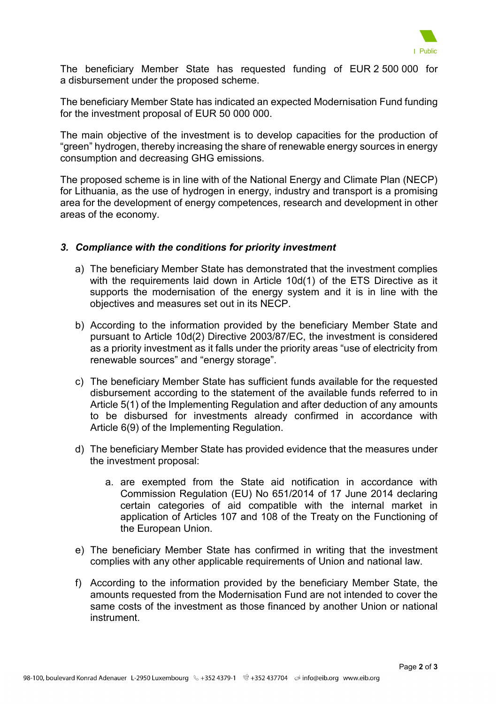

The beneficiary Member State has requested funding of EUR 2 500 000 for a disbursement under the proposed scheme.

The beneficiary Member State has indicated an expected Modernisation Fund funding for the investment proposal of EUR 50 000 000.

The main objective of the investment is to develop capacities for the production of "green" hydrogen, thereby increasing the share of renewable energy sources in energy consumption and decreasing GHG emissions.

The proposed scheme is in line with of the National Energy and Climate Plan (NECP) for Lithuania, as the use of hydrogen in energy, industry and transport is a promising area for the development of energy competences, research and development in other areas of the economy.

### *3. Compliance with the conditions for priority investment*

- a) The beneficiary Member State has demonstrated that the investment complies with the requirements laid down in Article 10d(1) of the ETS Directive as it supports the modernisation of the energy system and it is in line with the objectives and measures set out in its NECP.
- b) According to the information provided by the beneficiary Member State and pursuant to Article 10d(2) Directive 2003/87/EC, the investment is considered as a priority investment as it falls under the priority areas "use of electricity from renewable sources" and "energy storage".
- c) The beneficiary Member State has sufficient funds available for the requested disbursement according to the statement of the available funds referred to in Article 5(1) of the Implementing Regulation and after deduction of any amounts to be disbursed for investments already confirmed in accordance with Article 6(9) of the Implementing Regulation.
- d) The beneficiary Member State has provided evidence that the measures under the investment proposal:
	- a. are exempted from the State aid notification in accordance with Commission Regulation (EU) No 651/2014 of 17 June 2014 declaring certain categories of aid compatible with the internal market in application of Articles 107 and 108 of the Treaty on the Functioning of the European Union.
- e) The beneficiary Member State has confirmed in writing that the investment complies with any other applicable requirements of Union and national law.
- f) According to the information provided by the beneficiary Member State, the amounts requested from the Modernisation Fund are not intended to cover the same costs of the investment as those financed by another Union or national instrument.